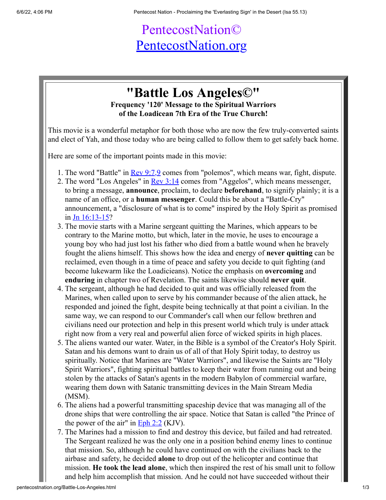## PentecostNation© [PentecostNation.org](http://pentecostnation.org/)

## **"Battle Los Angeles©" Frequency '120' Message to the Spiritual Warriors of the Loadicean 7th Era of the True Church!**

This movie is a wonderful metaphor for both those who are now the few truly-converted saints and elect of Yah, and those today who are being called to follow them to get safely back home.

Here are some of the important points made in this movie:

- 1. The word "Battle" in <u>Rev 9:7,9</u> comes from "polemos", which means war, fight, dispute.
- 2. The word "Los Angeles" in <u>Rev 3:14</u> comes from "Aggelos", which means messenger, to bring a message, **announce**, proclaim, to declare **beforehand**, to signify plainly; it is a name of an office, or a **human messenger**. Could this be about a "Battle-Cry" announcement, a "disclosure of what is to come" inspired by the Holy Spirit as promised in [Jn 16:13-15?](http://www.biblestudytools.com/interlinear-bible/passage.aspx?q=Jn+16%3A13-15&t=nas)
- 3. The movie starts with a Marine sergeant quitting the Marines, which appears to be contrary to the Marine motto, but which, later in the movie, he uses to encourage a young boy who had just lost his father who died from a battle wound when he bravely fought the aliens himself. This shows how the idea and energy of **never quitting** can be reclaimed, even though in a time of peace and safety you decide to quit fighting (and become lukewarm like the Loadicieans). Notice the emphasis on **overcoming** and **enduring** in chapter two of Revelation. The saints likewise should **never quit**.
- 4. The sergeant, although he had decided to quit and was officially released from the Marines, when called upon to serve by his commander because of the alien attack, he responded and joined the fight, despite being technically at that point a civilian. In the same way, we can respond to our Commander's call when our fellow brethren and civilians need our protection and help in this present world which truly is under attack right now from a very real and powerful alien force of wicked spirits in high places.
- 5. The aliens wanted our water. Water, in the Bible is a symbol of the Creator's Holy Spirit. Satan and his demons want to drain us of all of that Holy Spirit today, to destroy us spiritually. Notice that Marines are "Water Warriors", and likewise the Saints are "Holy Spirit Warriors", fighting spiritual battles to keep their water from running out and being stolen by the attacks of Satan's agents in the modern Babylon of commercial warfare, wearing them down with Satanic transmitting devices in the Main Stream Media (MSM).
- 6. The aliens had a powerful transmitting spaceship device that was managing all of the drone ships that were controlling the air space. Notice that Satan is called "the Prince of the power of the air" in  $Eph 2:2$  (KJV).
- 7. The Marines had a mission to find and destroy this device, but failed and had retreated. The Sergeant realized he was the only one in a position behind enemy lines to continue that mission. So, although he could have continued on with the civilians back to the airbase and safety, he decided **alone** to drop out of the helicopter and continue that mission. **He took the lead alone**, which then inspired the rest of his small unit to follow and help him accomplish that mission. And he could not have succeeded without their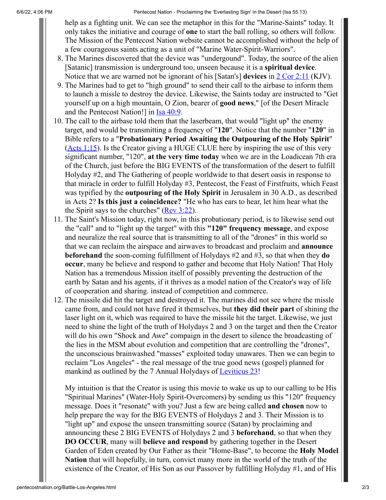6/6/22, 4:06 PM Pentecost Nation - Proclaiming the 'Everlasting Sign' in the Desert (Isa 55.13)

help as a fighting unit. We can see the metaphor in this for the "Marine-Saints" today. It only takes the initiative and courage of **one** to start the ball rolling, so others will follow. The Mission of the Pentecost Nation website cannot be accomplished without the help of a few courageous saints acting as a unit of "Marine Water-Spirit-Warriors".

- 8. The Marines discovered that the device was "undergound". Today, the source of the alien [Satanic] transmission is underground too, unseen because it is a **spiritual device**. Notice that we are warned not be ignorant of his [Satan's] **devices** in [2 Cor 2:11](http://www.biblestudytools.com/interlinear-bible/passage.aspx?q=2+Cor+2%3A11&t=kjv) (KJV).
- 9. The Marines had to get to "high ground" to send their call to the airbase to inform them to launch a missle to destroy the device. Likewise, the Saints today are instructed to "Get yourself up on a high mountain, O Zion, bearer of **good news**," [of the Desert Miracle and the Pentecost Nation!] in [Isa 40:9](http://www.biblestudytools.com/interlinear-bible/passage.aspx?q=Isa+40%3A9&t=nas).
- 10. The call to the airbase told them that the laserbeam, that would "light up" the enemy target, and would be transmitting a frequency of "**120**". Notice that the number "**120**" in Bible refers to a "**Probationary Period Awaiting the Outpouring of the Holy Spirit**" [\(Acts 1:15\)](http://www.biblestudytools.com/interlinear-bible/passage.aspx?q=Acts+1%3A15&t=nas). Is the Creator giving a HUGE CLUE here by inspiring the use of this very significant number, "120", **at the very time today** when we are in the Loadicean 7th era of the Church, just before the BIG EVENTS of the transformation of the desert to fulfill Holyday #2, and The Gathering of people worldwide to that desert oasis in response to that miracle in order to fulfill Holyday #3, Pentecost, the Feast of Firstfruits, which Feast was typified by the **outpouring of the Holy Spirit** in Jerusalem in 30 A.D., as described in Acts 2? **Is this just a coincidence?** "He who has ears to hear, let him hear what the the Spirit says to the churches" ( $\text{Rev } 3:22$ ).
- 11. The Saint's Mission today, right now, in this probationary period, is to likewise send out the "call" and to "light up the target" with this **"120" frequency message**, and expose and neuralize the real source that is transmitting to all of the "drones" in this world so that we can reclaim the airspace and airwaves to broadcast and proclaim and **announce beforehand** the soon-coming fulfillment of Holydays #2 and #3, so that when they **do occur**, many be believe and respond to gather and become that Holy Nation! That Holy Nation has a tremendous Mission itself of possibly preventing the destruction of the earth by Satan and his agents, if it thrives as a model nation of the Creator's way of life of cooperation and sharing. instead of competition and commerce.
- 12. The missile did hit the target and destroyed it. The marines did not see where the missle came from, and could not have fired it themselves, but **they did their part** of shining the laser light on it, which was required to have the missile hit the target. Likewise, we just need to shine the light of the truth of Holydays 2 and 3 on the target and then the Creator will do his own "Shock and Awe" compaign in the desert to silence the broadcasting of the lies in the MSM about evolution and competition that are controlling the "drones", the unconscious brainwashed "masses" exploited today unawares. Then we can begin to reclaim "Los Angeles" - the real message of the true good news (gospel) planned for mankind as outlined by the 7 Annual Holydays of [Leviticus 23!](http://www.biblestudytools.com/interlinear-bible/passage.aspx?q=Leviticus+23&t=nas)

My intuition is that the Creator is using this movie to wake us up to our calling to be His "Spiritual Marines" (Water-Holy Spirit-Overcomers) by sending us this "120" frequency message. Does it "resonate" with you? Just a few are being called **and chosen** now to help prepare the way for the BIG EVENTS of Holydays 2 and 3. Their Mission is to "light up" and expose the unseen transmitting source (Satan) by proclaiming and announcing these 2 BIG EVENTS of Holydays 2 and 3 **beforehand**, so that when they **DO OCCUR**, many will **believe and respond** by gathering together in the Desert Garden of Eden created by Our Father as their "Home-Base", to become the **Holy Model Nation** that will hopefully, in turn, convict many more in the world of the truth of the existence of the Creator, of His Son as our Passover by fulfilling Holyday #1, and of His